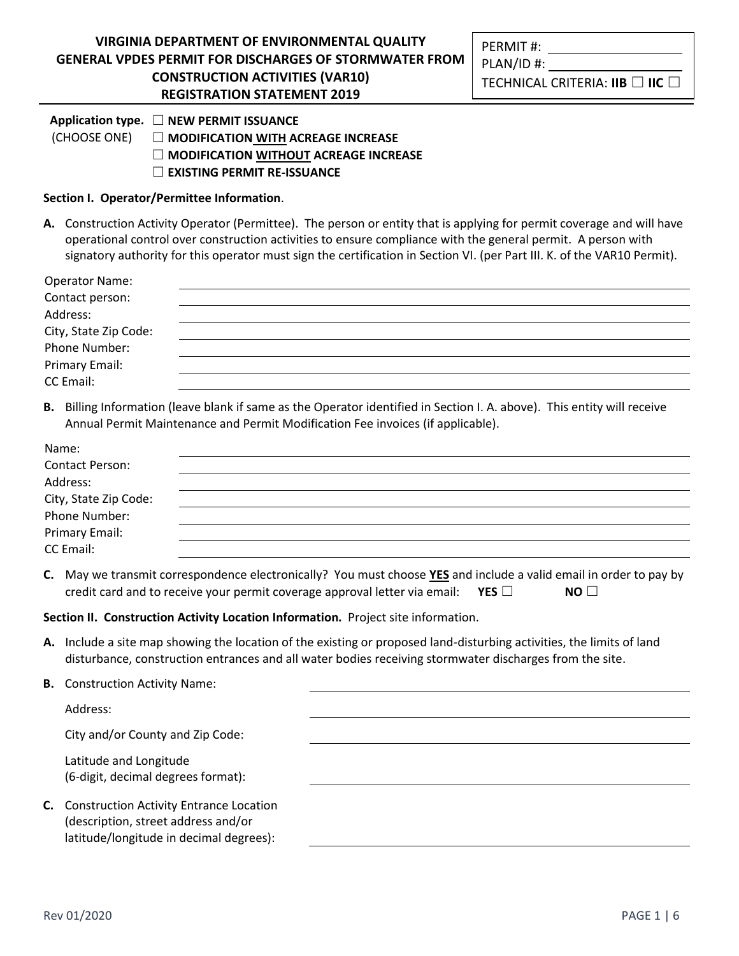|    |                                                                                                                                                                                                             | $\Box$ MODIFICATION WITHOUT ACREAGE INCREASE<br>$\Box$ EXISTING PERMIT RE-ISSUANCE                                                                                                                                                                                                                                                                                 |  |  |  |  |
|----|-------------------------------------------------------------------------------------------------------------------------------------------------------------------------------------------------------------|--------------------------------------------------------------------------------------------------------------------------------------------------------------------------------------------------------------------------------------------------------------------------------------------------------------------------------------------------------------------|--|--|--|--|
|    | Section I. Operator/Permittee Information.                                                                                                                                                                  |                                                                                                                                                                                                                                                                                                                                                                    |  |  |  |  |
|    |                                                                                                                                                                                                             | A. Construction Activity Operator (Permittee). The person or entity that is applying for permit coverage and will have<br>operational control over construction activities to ensure compliance with the general permit. A person with<br>signatory authority for this operator must sign the certification in Section VI. (per Part III. K. of the VAR10 Permit). |  |  |  |  |
|    | <b>Operator Name:</b><br>Contact person:<br>Address:<br>City, State Zip Code:<br>Phone Number:<br>Primary Email:<br>CC Email:                                                                               |                                                                                                                                                                                                                                                                                                                                                                    |  |  |  |  |
|    | B. Billing Information (leave blank if same as the Operator identified in Section I. A. above). This entity will receive<br>Annual Permit Maintenance and Permit Modification Fee invoices (if applicable). |                                                                                                                                                                                                                                                                                                                                                                    |  |  |  |  |
|    | Name:<br><b>Contact Person:</b><br>Address:<br>City, State Zip Code:<br>Phone Number:<br>Primary Email:<br>CC Email:                                                                                        |                                                                                                                                                                                                                                                                                                                                                                    |  |  |  |  |
|    |                                                                                                                                                                                                             | C. May we transmit correspondence electronically? You must choose YES and include a valid email in order to pay by<br>credit card and to receive your permit coverage approval letter via email:<br>YES $\square$<br>$NO$ $\Box$                                                                                                                                   |  |  |  |  |
|    |                                                                                                                                                                                                             | Section II. Construction Activity Location Information. Project site information.                                                                                                                                                                                                                                                                                  |  |  |  |  |
|    |                                                                                                                                                                                                             | A. Include a site map showing the location of the existing or proposed land-disturbing activities, the limits of land<br>disturbance, construction entrances and all water bodies receiving stormwater discharges from the site.                                                                                                                                   |  |  |  |  |
|    | <b>B.</b> Construction Activity Name:                                                                                                                                                                       |                                                                                                                                                                                                                                                                                                                                                                    |  |  |  |  |
|    | Address:                                                                                                                                                                                                    |                                                                                                                                                                                                                                                                                                                                                                    |  |  |  |  |
|    | City and/or County and Zip Code:                                                                                                                                                                            |                                                                                                                                                                                                                                                                                                                                                                    |  |  |  |  |
|    | Latitude and Longitude<br>(6-digit, decimal degrees format):                                                                                                                                                |                                                                                                                                                                                                                                                                                                                                                                    |  |  |  |  |
| C. | <b>Construction Activity Entrance Location</b><br>(description, street address and/or<br>latitude/longitude in decimal degrees):                                                                            |                                                                                                                                                                                                                                                                                                                                                                    |  |  |  |  |
|    |                                                                                                                                                                                                             |                                                                                                                                                                                                                                                                                                                                                                    |  |  |  |  |

# **Application type.** ☐ **NEW PERMIT ISSUANCE**

(CHOOSE ONE) ☐ **MODIFICATION WITH ACREAGE INCREASE** 

| <b>VIRGINIA DEPARTMENT OF ENVIRONMENTAL QUALITY</b>           | PERMIT#:               |  |
|---------------------------------------------------------------|------------------------|--|
| <b>GENERAL VPDES PERMIT FOR DISCHARGES OF STORMWATER FROM</b> | PLAN/ID#:              |  |
| <b>CONSTRUCTION ACTIVITIES (VAR10)</b>                        | TECHNICAL CRITERIA·IIR |  |

**REGISTRATION STATEMENT 2019**

TECHNICAL CRITERIA: **IIB** ☐ **IIC** ☐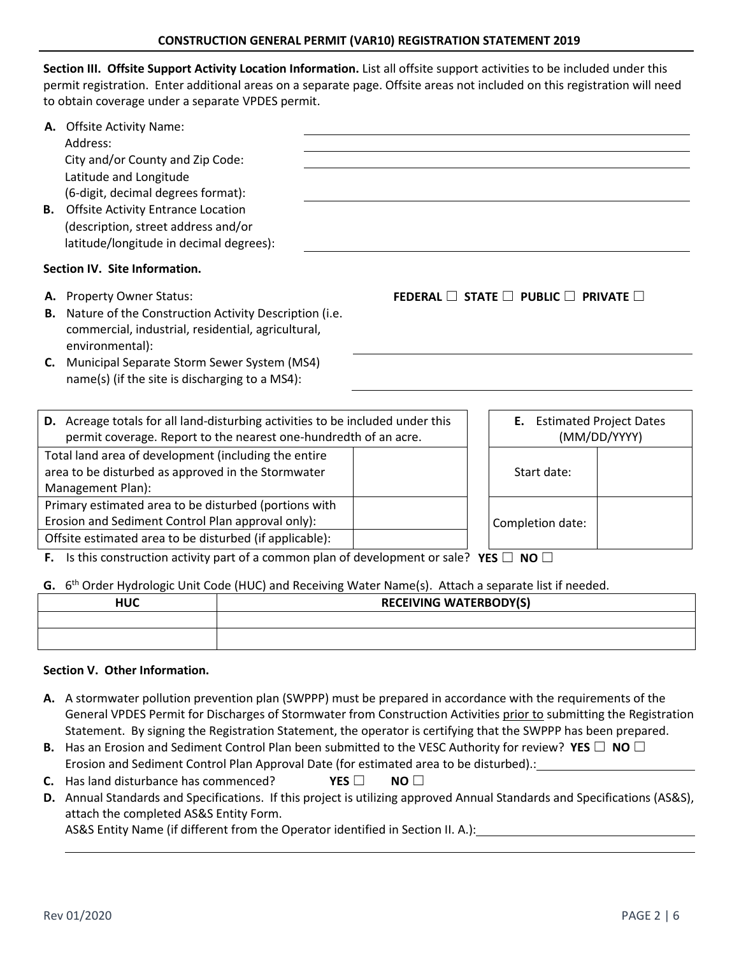**Section III. Offsite Support Activity Location Information.** List all offsite support activities to be included under this permit registration. Enter additional areas on a separate page. Offsite areas not included on this registration will need to obtain coverage under a separate VPDES permit.

| В.                                                                                                                                                                                                                               | A. Offsite Activity Name:<br>Address:<br>City and/or County and Zip Code:<br>Latitude and Longitude<br>(6-digit, decimal degrees format):<br><b>Offsite Activity Entrance Location</b><br>(description, street address and/or<br>latitude/longitude in decimal degrees): |  |                                                          |                                                      |  |  |
|----------------------------------------------------------------------------------------------------------------------------------------------------------------------------------------------------------------------------------|--------------------------------------------------------------------------------------------------------------------------------------------------------------------------------------------------------------------------------------------------------------------------|--|----------------------------------------------------------|------------------------------------------------------|--|--|
| Section IV. Site Information.                                                                                                                                                                                                    |                                                                                                                                                                                                                                                                          |  |                                                          |                                                      |  |  |
| В.                                                                                                                                                                                                                               | A. Property Owner Status:<br>Nature of the Construction Activity Description (i.e.<br>commercial, industrial, residential, agricultural,<br>environmental):                                                                                                              |  | FEDERAL $\Box$ STATE $\Box$ PUBLIC $\Box$ PRIVATE $\Box$ |                                                      |  |  |
|                                                                                                                                                                                                                                  | C. Municipal Separate Storm Sewer System (MS4)<br>name(s) (if the site is discharging to a MS4):                                                                                                                                                                         |  |                                                          |                                                      |  |  |
|                                                                                                                                                                                                                                  | D. Acreage totals for all land-disturbing activities to be included under this<br>permit coverage. Report to the nearest one-hundredth of an acre.                                                                                                                       |  |                                                          | <b>Estimated Project Dates</b><br>Е.<br>(MM/DD/YYYY) |  |  |
| Total land area of development (including the entire<br>area to be disturbed as approved in the Stormwater<br>Management Plan):                                                                                                  |                                                                                                                                                                                                                                                                          |  |                                                          | Start date:                                          |  |  |
| Primary estimated area to be disturbed (portions with<br>Erosion and Sediment Control Plan approval only):<br>Offsite estimated area to be disturbed (if applicable):                                                            |                                                                                                                                                                                                                                                                          |  |                                                          | Completion date:                                     |  |  |
| <b>F.</b> Is this construction activity part of a common plan of development or sale? YES $\Box$ NO $\Box$<br>G. 6 <sup>th</sup> Order Hydrologic Unit Code (HUC) and Receiving Water Name(s). Attach a separate list if needed. |                                                                                                                                                                                                                                                                          |  |                                                          |                                                      |  |  |
|                                                                                                                                                                                                                                  | <b>HUC</b>                                                                                                                                                                                                                                                               |  | <b>RECEIVING WATERBODY(S)</b>                            |                                                      |  |  |
|                                                                                                                                                                                                                                  |                                                                                                                                                                                                                                                                          |  |                                                          |                                                      |  |  |

# **Section V. Other Information.**

- **A.** A stormwater pollution prevention plan (SWPPP) must be prepared in accordance with the requirements of the General VPDES Permit for Discharges of Stormwater from Construction Activities prior to submitting the Registration Statement. By signing the Registration Statement, the operator is certifying that the SWPPP has been prepared.
- **B.** Has an Erosion and Sediment Control Plan been submitted to the VESC Authority for review? **YES** ☐ **NO** ☐ Erosion and Sediment Control Plan Approval Date (for estimated area to be disturbed).:
- **C.** Has land disturbance has commenced? **YES** ☐ **NO** ☐
- **D.** Annual Standards and Specifications. If this project is utilizing approved Annual Standards and Specifications (AS&S), attach the completed AS&S Entity Form. AS&S Entity Name (if different from the Operator identified in Section II. A.):

Rev 01/2020 PAGE 2 | 6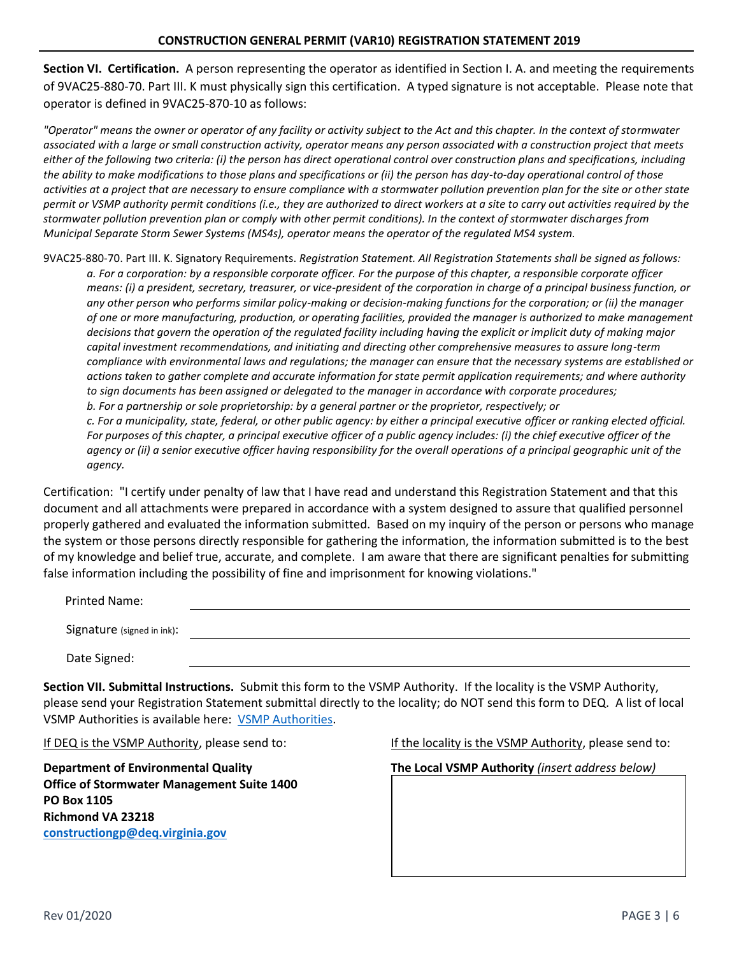**Section VI. Certification.** A person representing the operator as identified in Section I. A. and meeting the requirements of 9VAC25-880-70. Part III. K must physically sign this certification. A typed signature is not acceptable. Please note that operator is defined in 9VAC25-870-10 as follows:

*"Operator" means the owner or operator of any facility or activity subject to the Act and this chapter. In the context of stormwater associated with a large or small construction activity, operator means any person associated with a construction project that meets either of the following two criteria: (i) the person has direct operational control over construction plans and specifications, including the ability to make modifications to those plans and specifications or (ii) the person has day-to-day operational control of those activities at a project that are necessary to ensure compliance with a stormwater pollution prevention plan for the site or other state permit or VSMP authority permit conditions (i.e., they are authorized to direct workers at a site to carry out activities required by the stormwater pollution prevention plan or comply with other permit conditions). In the context of stormwater discharges from Municipal Separate Storm Sewer Systems (MS4s), operator means the operator of the regulated MS4 system.*

9VAC25-880-70. Part III. K. Signatory Requirements. *Registration Statement. All Registration Statements shall be signed as follows: a. For a corporation: by a responsible corporate officer. For the purpose of this chapter, a responsible corporate officer means: (i) a president, secretary, treasurer, or vice-president of the corporation in charge of a principal business function, or any other person who performs similar policy-making or decision-making functions for the corporation; or (ii) the manager of one or more manufacturing, production, or operating facilities, provided the manager is authorized to make management decisions that govern the operation of the regulated facility including having the explicit or implicit duty of making major capital investment recommendations, and initiating and directing other comprehensive measures to assure long-term compliance with environmental laws and regulations; the manager can ensure that the necessary systems are established or actions taken to gather complete and accurate information for state permit application requirements; and where authority to sign documents has been assigned or delegated to the manager in accordance with corporate procedures; b. For a partnership or sole proprietorship: by a general partner or the proprietor, respectively; or c. For a municipality, state, federal, or other public agency: by either a principal executive officer or ranking elected official. For purposes of this chapter, a principal executive officer of a public agency includes: (i) the chief executive officer of the* 

*agency or (ii) a senior executive officer having responsibility for the overall operations of a principal geographic unit of the agency.* 

Certification: "I certify under penalty of law that I have read and understand this Registration Statement and that this document and all attachments were prepared in accordance with a system designed to assure that qualified personnel properly gathered and evaluated the information submitted. Based on my inquiry of the person or persons who manage the system or those persons directly responsible for gathering the information, the information submitted is to the best of my knowledge and belief true, accurate, and complete. I am aware that there are significant penalties for submitting false information including the possibility of fine and imprisonment for knowing violations."

| Printed Name:              |  |  |
|----------------------------|--|--|
|                            |  |  |
| Signature (signed in ink): |  |  |
| Date Signed:               |  |  |

**Section VII. Submittal Instructions.** Submit this form to the VSMP Authority. If the locality is the VSMP Authority, please send your Registration Statement submittal directly to the locality; do NOT send this form to DEQ. A list of local VSMP Authorities is available here: [VSMP Authorities](https://www.deq.virginia.gov/Portals/0/DEQ/Water/StormwaterManagement/CGP%20Links/VSMP%20Authority%20List.xlsx?ver=2017-12-01-085039-713).

**Office of Stormwater Management Suite 1400 PO Box 1105 Richmond VA 23218 [constructiongp@deq.virginia.gov](mailto:constructiongp@deq.virginia.gov)**

If DEQ is the VSMP Authority, please send to: If the locality is the VSMP Authority, please send to:

**Department of Environmental Quality The Local VSMP Authority** *(insert address below)*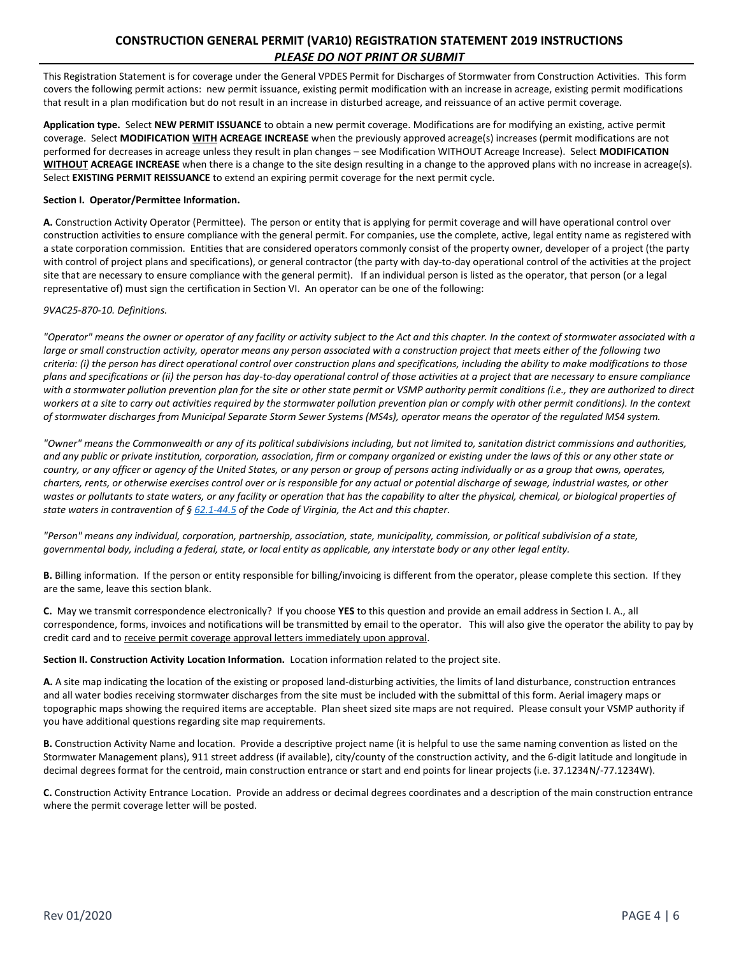# **CONSTRUCTION GENERAL PERMIT (VAR10) REGISTRATION STATEMENT 2019 INSTRUCTIONS** *PLEASE DO NOT PRINT OR SUBMIT*

This Registration Statement is for coverage under the General VPDES Permit for Discharges of Stormwater from Construction Activities. This form covers the following permit actions: new permit issuance, existing permit modification with an increase in acreage, existing permit modifications that result in a plan modification but do not result in an increase in disturbed acreage, and reissuance of an active permit coverage.

**Application type.** Select **NEW PERMIT ISSUANCE** to obtain a new permit coverage. Modifications are for modifying an existing, active permit coverage. Select **MODIFICATION WITH ACREAGE INCREASE** when the previously approved acreage(s) increases (permit modifications are not performed for decreases in acreage unless they result in plan changes – see Modification WITHOUT Acreage Increase). Select **MODIFICATION WITHOUT ACREAGE INCREASE** when there is a change to the site design resulting in a change to the approved plans with no increase in acreage(s). Select **EXISTING PERMIT REISSUANCE** to extend an expiring permit coverage for the next permit cycle.

#### **Section I. Operator/Permittee Information.**

**A.** Construction Activity Operator (Permittee). The person or entity that is applying for permit coverage and will have operational control over construction activities to ensure compliance with the general permit. For companies, use the complete, active, legal entity name as registered with a state corporation commission. Entities that are considered operators commonly consist of the property owner, developer of a project (the party with control of project plans and specifications), or general contractor (the party with day-to-day operational control of the activities at the project site that are necessary to ensure compliance with the general permit). If an individual person is listed as the operator, that person (or a legal representative of) must sign the certification in Section VI. An operator can be one of the following:

#### *9VAC25-870-10. Definitions.*

*"Operator" means the owner or operator of any facility or activity subject to the Act and this chapter. In the context of stormwater associated with a large or small construction activity, operator means any person associated with a construction project that meets either of the following two criteria: (i) the person has direct operational control over construction plans and specifications, including the ability to make modifications to those plans and specifications or (ii) the person has day-to-day operational control of those activities at a project that are necessary to ensure compliance with a stormwater pollution prevention plan for the site or other state permit or VSMP authority permit conditions (i.e., they are authorized to direct workers at a site to carry out activities required by the stormwater pollution prevention plan or comply with other permit conditions). In the context of stormwater discharges from Municipal Separate Storm Sewer Systems (MS4s), operator means the operator of the regulated MS4 system.*

*"Owner" means the Commonwealth or any of its political subdivisions including, but not limited to, sanitation district commissions and authorities, and any public or private institution, corporation, association, firm or company organized or existing under the laws of this or any other state or country, or any officer or agency of the United States, or any person or group of persons acting individually or as a group that owns, operates, charters, rents, or otherwise exercises control over or is responsible for any actual or potential discharge of sewage, industrial wastes, or other*  wastes or pollutants to state waters, or any facility or operation that has the capability to alter the physical, chemical, or biological properties of *state waters in contravention of § [62.1-44.5](http://law.lis.virginia.gov/vacode/62.1-44.5/) of the Code of Virginia, the Act and this chapter.*

*"Person" means any individual, corporation, partnership, association, state, municipality, commission, or political subdivision of a state, governmental body, including a federal, state, or local entity as applicable, any interstate body or any other legal entity.*

**B.** Billing information. If the person or entity responsible for billing/invoicing is different from the operator, please complete this section. If they are the same, leave this section blank.

**C.** May we transmit correspondence electronically? If you choose **YES** to this question and provide an email address in Section I. A., all correspondence, forms, invoices and notifications will be transmitted by email to the operator. This will also give the operator the ability to pay by credit card and to receive permit coverage approval letters immediately upon approval.

**Section II. Construction Activity Location Information.** Location information related to the project site.

**A.** A site map indicating the location of the existing or proposed land-disturbing activities, the limits of land disturbance, construction entrances and all water bodies receiving stormwater discharges from the site must be included with the submittal of this form. Aerial imagery maps or topographic maps showing the required items are acceptable. Plan sheet sized site maps are not required. Please consult your VSMP authority if you have additional questions regarding site map requirements.

**B.** Construction Activity Name and location. Provide a descriptive project name (it is helpful to use the same naming convention as listed on the Stormwater Management plans), 911 street address (if available), city/county of the construction activity, and the 6-digit latitude and longitude in decimal degrees format for the centroid, main construction entrance or start and end points for linear projects (i.e. 37.1234N/-77.1234W).

**C.** Construction Activity Entrance Location. Provide an address or decimal degrees coordinates and a description of the main construction entrance where the permit coverage letter will be posted.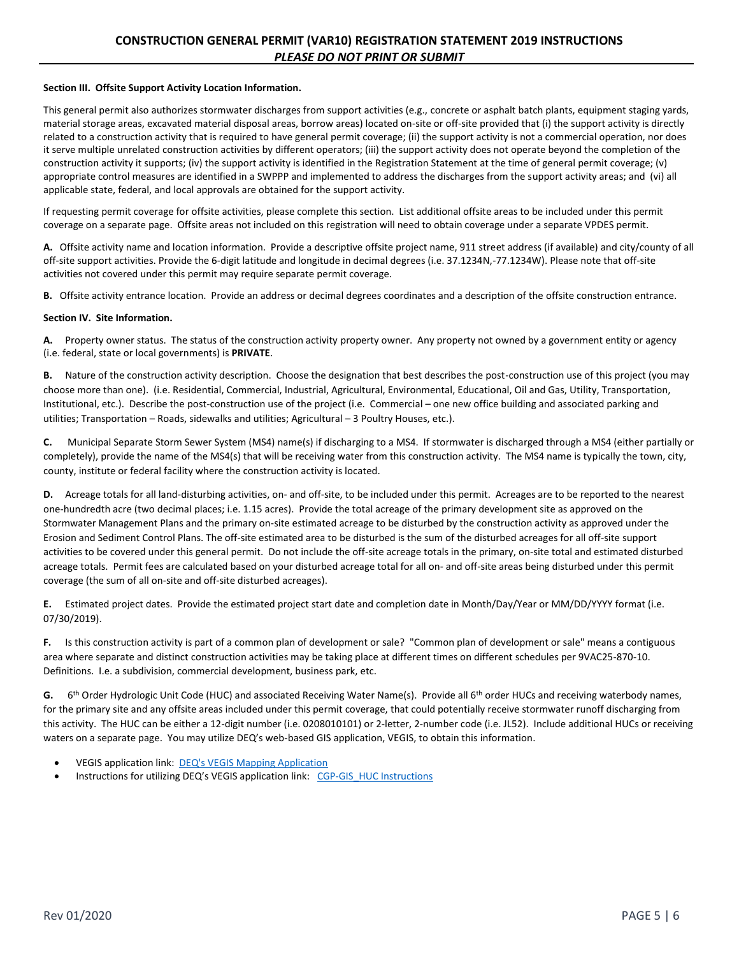#### **Section III. Offsite Support Activity Location Information.**

This general permit also authorizes stormwater discharges from support activities (e.g., concrete or asphalt batch plants, equipment staging yards, material storage areas, excavated material disposal areas, borrow areas) located on-site or off-site provided that (i) the support activity is directly related to a construction activity that is required to have general permit coverage; (ii) the support activity is not a commercial operation, nor does it serve multiple unrelated construction activities by different operators; (iii) the support activity does not operate beyond the completion of the construction activity it supports; (iv) the support activity is identified in the Registration Statement at the time of general permit coverage; (v) appropriate control measures are identified in a SWPPP and implemented to address the discharges from the support activity areas; and (vi) all applicable state, federal, and local approvals are obtained for the support activity.

If requesting permit coverage for offsite activities, please complete this section. List additional offsite areas to be included under this permit coverage on a separate page. Offsite areas not included on this registration will need to obtain coverage under a separate VPDES permit.

**A.** Offsite activity name and location information. Provide a descriptive offsite project name, 911 street address (if available) and city/county of all off-site support activities. Provide the 6-digit latitude and longitude in decimal degrees (i.e. 37.1234N,-77.1234W). Please note that off-site activities not covered under this permit may require separate permit coverage.

**B.** Offsite activity entrance location. Provide an address or decimal degrees coordinates and a description of the offsite construction entrance.

#### **Section IV. Site Information.**

**A.** Property owner status. The status of the construction activity property owner. Any property not owned by a government entity or agency (i.e. federal, state or local governments) is **PRIVATE**.

**B.** Nature of the construction activity description. Choose the designation that best describes the post-construction use of this project (you may choose more than one). (i.e. Residential, Commercial, Industrial, Agricultural, Environmental, Educational, Oil and Gas, Utility, Transportation, Institutional, etc.). Describe the post-construction use of the project (i.e. Commercial – one new office building and associated parking and utilities; Transportation – Roads, sidewalks and utilities; Agricultural – 3 Poultry Houses, etc.).

**C.** Municipal Separate Storm Sewer System (MS4) name(s) if discharging to a MS4. If stormwater is discharged through a MS4 (either partially or completely), provide the name of the MS4(s) that will be receiving water from this construction activity. The MS4 name is typically the town, city, county, institute or federal facility where the construction activity is located.

**D.** Acreage totals for all land-disturbing activities, on- and off-site, to be included under this permit. Acreages are to be reported to the nearest one-hundredth acre (two decimal places; i.e. 1.15 acres). Provide the total acreage of the primary development site as approved on the Stormwater Management Plans and the primary on-site estimated acreage to be disturbed by the construction activity as approved under the Erosion and Sediment Control Plans. The off-site estimated area to be disturbed is the sum of the disturbed acreages for all off-site support activities to be covered under this general permit. Do not include the off-site acreage totals in the primary, on-site total and estimated disturbed acreage totals. Permit fees are calculated based on your disturbed acreage total for all on- and off-site areas being disturbed under this permit coverage (the sum of all on-site and off-site disturbed acreages).

**E.** Estimated project dates. Provide the estimated project start date and completion date in Month/Day/Year or MM/DD/YYYY format (i.e. 07/30/2019).

**F.** Is this construction activity is part of a common plan of development or sale? "Common plan of development or sale" means a contiguous area where separate and distinct construction activities may be taking place at different times on different schedules per 9VAC25-870-10. Definitions. I.e. a subdivision, commercial development, business park, etc.

G. 6<sup>th</sup> Order Hydrologic Unit Code (HUC) and associated Receiving Water Name(s). Provide all 6<sup>th</sup> order HUCs and receiving waterbody names, for the primary site and any offsite areas included under this permit coverage, that could potentially receive stormwater runoff discharging from this activity. The HUC can be either a 12-digit number (i.e. 0208010101) or 2-letter, 2-number code (i.e. JL52). Include additional HUCs or receiving waters on a separate page. You may utilize DEQ's web-based GIS application, VEGIS, to obtain this information.

- VEGIS application link: [DEQ's VEGIS Mapping Application](https://apps.deq.virginia.gov/mapper_ext/?service=public/wimby)
- **[Instructions](https://www.deq.virginia.gov/Portals/0/DEQ/Water/Publications/CGP-GIS_HUC_Instructions.pdf) for utilizing DEQ's VEGIS application link:** CGP-GIS HUC Instructions